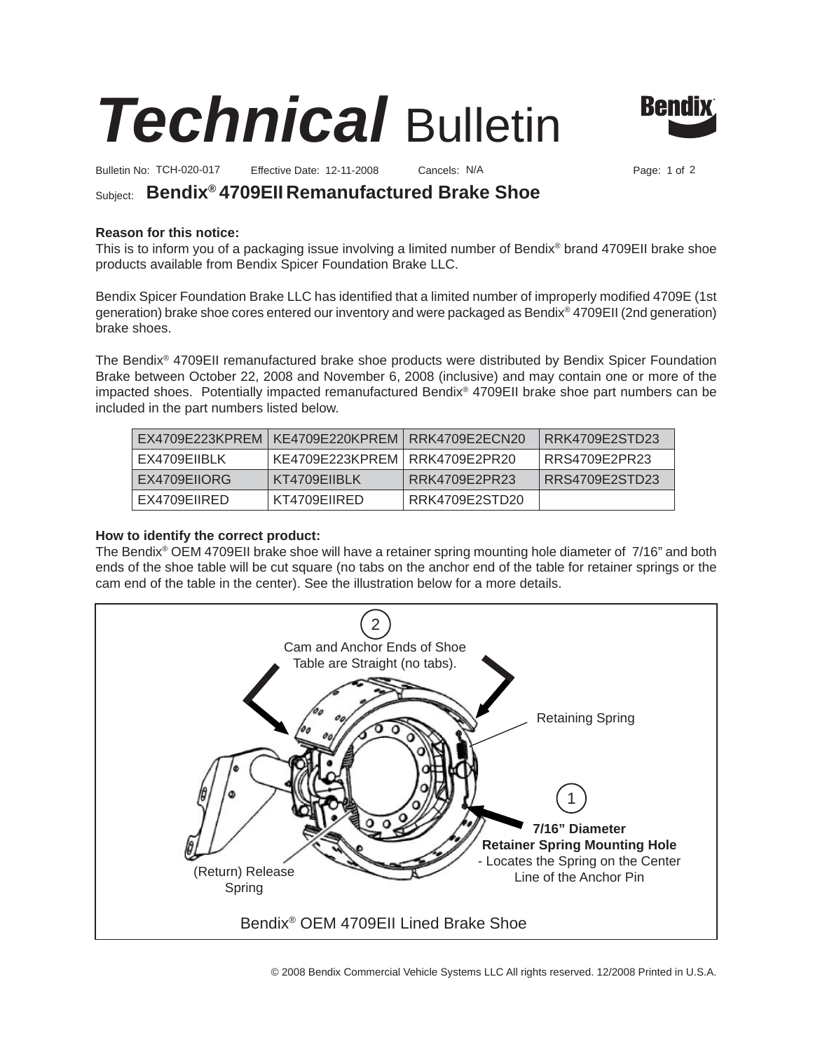



Bulletin No: Effective Date: Cancels: Page: 1 of TCH-020-017 12-11-2008 N/A 2

# Subject: **Bendix® 4709EII Remanufactured Brake Shoe**

## **Reason for this notice:**

This is to inform you of a packaging issue involving a limited number of Bendix® brand 4709EII brake shoe products available from Bendix Spicer Foundation Brake LLC.

Bendix Spicer Foundation Brake LLC has identified that a limited number of improperly modified 4709E (1st generation) brake shoe cores entered our inventory and were packaged as Bendix® 4709EII (2nd generation) brake shoes.

The Bendix® 4709EII remanufactured brake shoe products were distributed by Bendix Spicer Foundation Brake between October 22, 2008 and November 6, 2008 (inclusive) and may contain one or more of the impacted shoes. Potentially impacted remanufactured Bendix® 4709EII brake shoe part numbers can be included in the part numbers listed below.

|              | EX4709E223KPREM   KE4709E220KPREM   RRK4709E2ECN20 |                | RRK4709E2STD23 |
|--------------|----------------------------------------------------|----------------|----------------|
| EX4709EIIBLK | KE4709E223KPREM   RRK4709E2PR20                    |                | RRS4709E2PR23  |
| EX4709EIIORG | KT4709EIIBLK                                       | RRK4709E2PR23  | RRS4709E2STD23 |
| EX4709EIIRED | KT4709EIIRED                                       | RRK4709E2STD20 |                |

## **How to identify the correct product:**

The Bendix® OEM 4709EII brake shoe will have a retainer spring mounting hole diameter of 7/16" and both ends of the shoe table will be cut square (no tabs on the anchor end of the table for retainer springs or the cam end of the table in the center). See the illustration below for a more details.